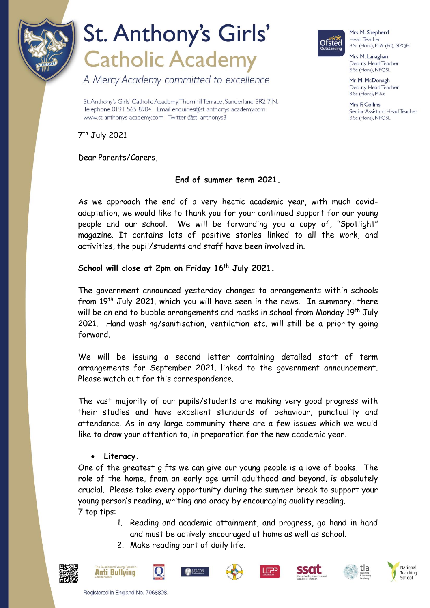

# St. Anthony's Girls' **Catholic Academy**

A Mercy Academy committed to excellence

St. Anthony's Girls' Catholic Academy, Thornhill Terrace, Sunderland SR2 7|N. Telephone 0191 565 8904 Email enquiries@st-anthonys-academy.com www.st-anthonys-academy.com Twitter @st\_anthonys3



Mrs M. Shepherd Head Teacher B.Sc (Hons), M.A. (Ed), NPQH

Mrs M. Lanaghan Deputy Head Teacher B.Sc (Hons), NPQSL

Mr M. McDonagh Deputy Head Teacher B.Sc (Hons), M.S.c

Mrs F Collins Senior Assistant Head Teacher B.Sc (Hons), NPQSL

7 th July 2021

Dear Parents/Carers,

### **End of summer term 2021.**

As we approach the end of a very hectic academic year, with much covidadaptation, we would like to thank you for your continued support for our young people and our school. We will be forwarding you a copy of, "Spotlight" magazine. It contains lots of positive stories linked to all the work, and activities, the pupil/students and staff have been involved in.

### **School will close at 2pm on Friday 16th July 2021.**

The government announced yesterday changes to arrangements within schools from  $19<sup>th</sup>$  July 2021, which you will have seen in the news. In summary, there will be an end to bubble arrangements and masks in school from Monday 19<sup>th</sup> July 2021. Hand washing/sanitisation, ventilation etc. will still be a priority going forward.

We will be issuing a second letter containing detailed start of term arrangements for September 2021, linked to the government announcement. Please watch out for this correspondence.

The vast majority of our pupils/students are making very good progress with their studies and have excellent standards of behaviour, punctuality and attendance. As in any large community there are a few issues which we would like to draw your attention to, in preparation for the new academic year.

### **Literacy.**

One of the greatest gifts we can give our young people is a love of books. The role of the home, from an early age until adulthood and beyond, is absolutely crucial. Please take every opportunity during the summer break to support your young person's reading, writing and oracy by encouraging quality reading. 7 top tips:

- 1. Reading and academic attainment, and progress, go hand in hand and must be actively encouraged at home as well as school.
- 2. Make reading part of daily life.













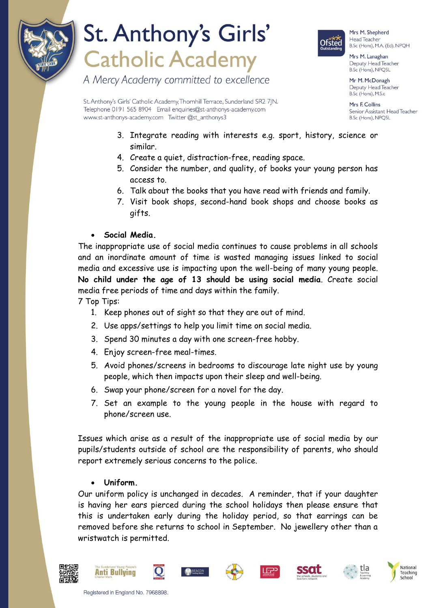

# St. Anthony's Girls' **Catholic Academy**

A Mercy Academy committed to excellence



Mrs M. Shepherd Head Teacher B.Sc (Hons), M.A. (Ed), NPQH

Mrs M. Lanaghan Deputy Head Teacher B.Sc (Hons), NPQSL

Mr M. McDonagh Deputy Head Teacher B.Sc (Hons), M.S.c

Mrs F Collins Senior Assistant Head Teacher B.Sc (Hons), NPQSL

St. Anthony's Girls' Catholic Academy, Thornhill Terrace, Sunderland SR2 7|N. Telephone 0191 565 8904 Email enquiries@st-anthonys-academy.com www.st-anthonys-academy.com Twitter @st\_anthonys3

- 3. Integrate reading with interests e.g. sport, history, science or similar.
- 4. Create a quiet, distraction-free, reading space.
- 5. Consider the number, and quality, of books your young person has access to.
- 6. Talk about the books that you have read with friends and family.
- 7. Visit book shops, second-hand book shops and choose books as gifts.

**Social Media.**

The inappropriate use of social media continues to cause problems in all schools and an inordinate amount of time is wasted managing issues linked to social media and excessive use is impacting upon the well-being of many young people. **No child under the age of 13 should be using social media**. Create social media free periods of time and days within the family.

7 Top Tips:

- 1. Keep phones out of sight so that they are out of mind.
- 2. Use apps/settings to help you limit time on social media.
- 3. Spend 30 minutes a day with one screen-free hobby.
- 4. Enjoy screen-free meal-times.
- 5. Avoid phones/screens in bedrooms to discourage late night use by young people, which then impacts upon their sleep and well-being.
- 6. Swap your phone/screen for a novel for the day.
- 7. Set an example to the young people in the house with regard to phone/screen use.

Issues which arise as a result of the inappropriate use of social media by our pupils/students outside of school are the responsibility of parents, who should report extremely serious concerns to the police.

### **Uniform.**

Our uniform policy is unchanged in decades. A reminder, that if your daughter is having her ears pierced during the school holidays then please ensure that this is undertaken early during the holiday period, so that earrings can be removed before she returns to school in September. No jewellery other than a wristwatch is permitted.